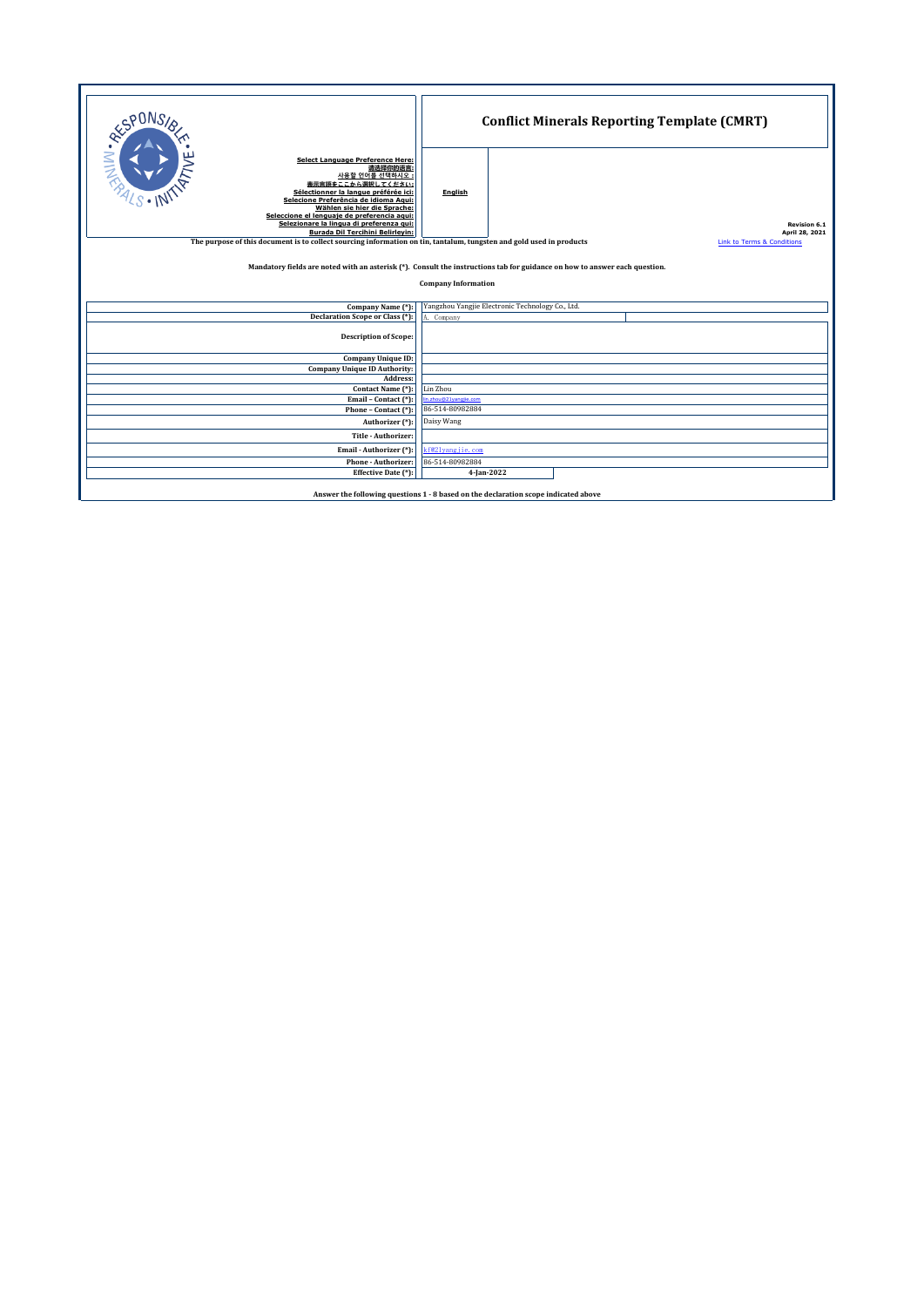| RESPONSI <sub>S</sub><br><b>Select Language Preference Here:</b><br>请选择你的语言:<br>사용할 언어를 선택하시오<br>表示言語をここから選択してください:<br>Sélectionner la langue préférée ici:<br>Selecione Preferência de idioma Agui: | English                                                                                                                                                       |                                                  |  | <b>Conflict Minerals Reporting Template (CMRT)</b> |  |  |  |  |  |  |  |
|------------------------------------------------------------------------------------------------------------------------------------------------------------------------------------------------------|---------------------------------------------------------------------------------------------------------------------------------------------------------------|--------------------------------------------------|--|----------------------------------------------------|--|--|--|--|--|--|--|
| Wählen sie hier die Sprache:<br>Seleccione el lenguaje de preferencia aqui:<br>Selezionare la lingua di preferenza qui:                                                                              |                                                                                                                                                               |                                                  |  | <b>Revision 6.1</b>                                |  |  |  |  |  |  |  |
| <b>Burada Dil Tercihini Belirleyin:</b>                                                                                                                                                              |                                                                                                                                                               |                                                  |  | April 28, 2021                                     |  |  |  |  |  |  |  |
|                                                                                                                                                                                                      | The purpose of this document is to collect sourcing information on tin, tantalum, tungsten and gold used in products<br><b>Link to Terms &amp; Conditions</b> |                                                  |  |                                                    |  |  |  |  |  |  |  |
| Mandatory fields are noted with an asterisk (*). Consult the instructions tab for guidance on how to answer each question.                                                                           |                                                                                                                                                               |                                                  |  |                                                    |  |  |  |  |  |  |  |
|                                                                                                                                                                                                      | <b>Company Information</b>                                                                                                                                    |                                                  |  |                                                    |  |  |  |  |  |  |  |
|                                                                                                                                                                                                      |                                                                                                                                                               |                                                  |  |                                                    |  |  |  |  |  |  |  |
| Company Name (*):                                                                                                                                                                                    |                                                                                                                                                               | Yangzhou Yangjie Electronic Technology Co., Ltd. |  |                                                    |  |  |  |  |  |  |  |
| Declaration Scope or Class (*):                                                                                                                                                                      | A. Company                                                                                                                                                    |                                                  |  |                                                    |  |  |  |  |  |  |  |
| <b>Description of Scope:</b>                                                                                                                                                                         |                                                                                                                                                               |                                                  |  |                                                    |  |  |  |  |  |  |  |
| Company Unique ID:                                                                                                                                                                                   |                                                                                                                                                               |                                                  |  |                                                    |  |  |  |  |  |  |  |
| <b>Company Unique ID Authority:</b>                                                                                                                                                                  |                                                                                                                                                               |                                                  |  |                                                    |  |  |  |  |  |  |  |
| Address:                                                                                                                                                                                             |                                                                                                                                                               |                                                  |  |                                                    |  |  |  |  |  |  |  |
| Contact Name (*):<br>Email - Contact (*):                                                                                                                                                            | Lin Zhou<br>n.zhou@21vangiie.com                                                                                                                              |                                                  |  |                                                    |  |  |  |  |  |  |  |
| Phone - Contact (*):                                                                                                                                                                                 | 86-514-80982884                                                                                                                                               |                                                  |  |                                                    |  |  |  |  |  |  |  |
| Authorizer (*):                                                                                                                                                                                      | Daisy Wang                                                                                                                                                    |                                                  |  |                                                    |  |  |  |  |  |  |  |
| Title - Authorizer:                                                                                                                                                                                  |                                                                                                                                                               |                                                  |  |                                                    |  |  |  |  |  |  |  |
| Email - Authorizer (*):                                                                                                                                                                              | kf@2lyangjie.com                                                                                                                                              |                                                  |  |                                                    |  |  |  |  |  |  |  |
| <b>Phone - Authorizer:</b>                                                                                                                                                                           | 86-514-80982884                                                                                                                                               |                                                  |  |                                                    |  |  |  |  |  |  |  |
| Effective Date (*):                                                                                                                                                                                  | 4-Jan-2022                                                                                                                                                    |                                                  |  |                                                    |  |  |  |  |  |  |  |
| Answer the following questions 1 - 8 based on the declaration scope indicated above                                                                                                                  |                                                                                                                                                               |                                                  |  |                                                    |  |  |  |  |  |  |  |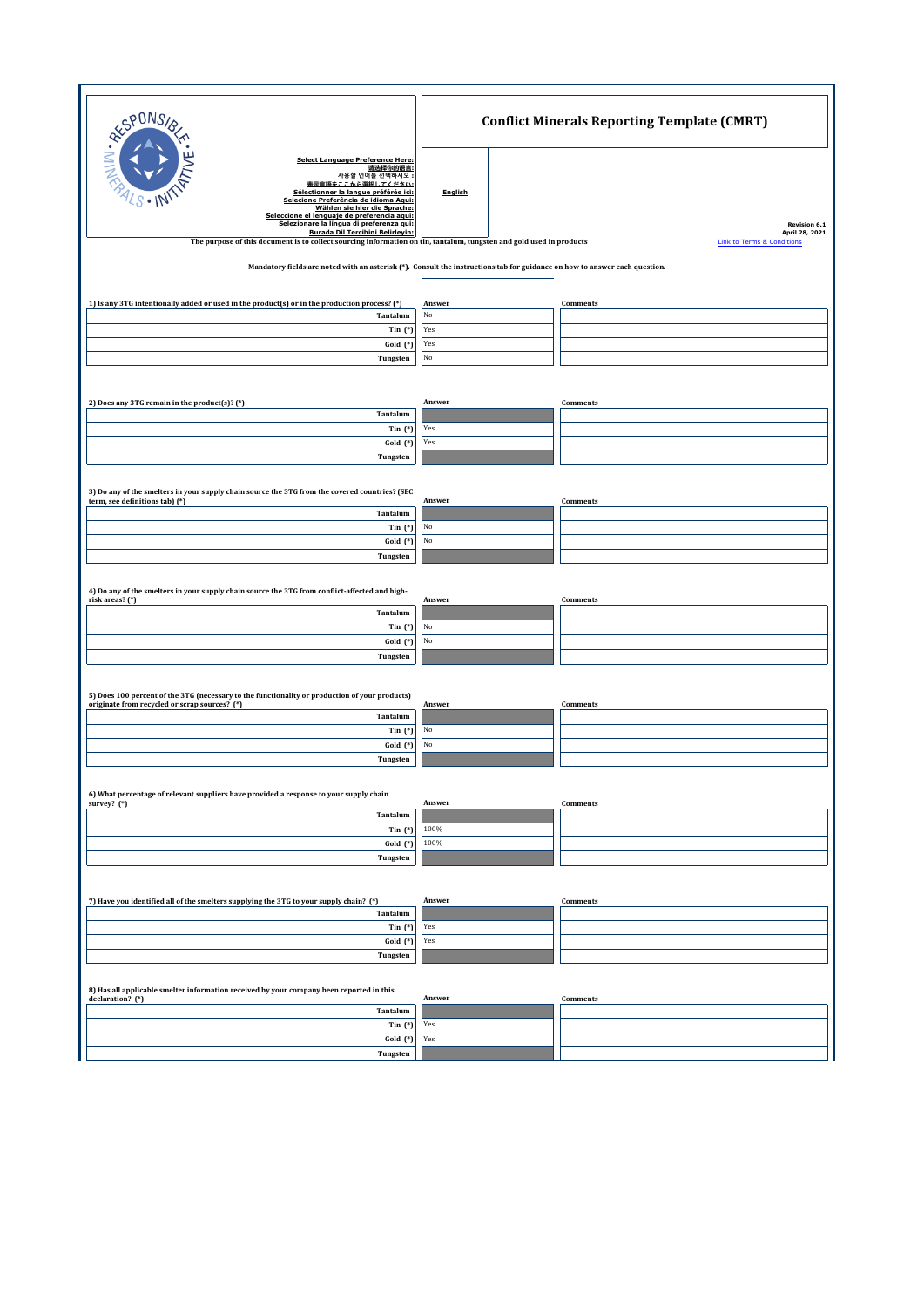| SPONS                                                                                                                                                                                                                                                                                                                                                 |           | <b>Conflict Minerals Reporting Template (CMRT)</b> |  |  |  |  |  |  |  |  |
|-------------------------------------------------------------------------------------------------------------------------------------------------------------------------------------------------------------------------------------------------------------------------------------------------------------------------------------------------------|-----------|----------------------------------------------------|--|--|--|--|--|--|--|--|
| NIN.A<br><b>Select Language Preference Here:</b><br>请选择你的语言:<br>사용할 언어를 선택하시오 :<br>表示言語をここから選択してください:<br>Sélectionner la langue préférée ici:<br>Selecione Preferência de idioma Aqui:<br>Wählen sie hier die Sprache:<br>Seleccione el lenguaje de preferencia aqui:<br>Selezionare la lingua di preferenza qui:<br>Burada Dil Tercihini Belirleyin: | English   | Revision 6.1<br>April 28, 2021                     |  |  |  |  |  |  |  |  |
| The purpose of this document is to collect sourcing information on tin, tantalum, tungsten and gold used in products                                                                                                                                                                                                                                  |           | <b>Link to Terms &amp; Conditions</b>              |  |  |  |  |  |  |  |  |
| Mandatory fields are noted with an asterisk (*). Consult the instructions tab for guidance on how to answer each question.                                                                                                                                                                                                                            |           |                                                    |  |  |  |  |  |  |  |  |
| 1) Is any 3TG intentionally added or used in the product(s) or in the production process? (*)                                                                                                                                                                                                                                                         | Answer    | Comments                                           |  |  |  |  |  |  |  |  |
| Tantalum<br>Tin $(*)$                                                                                                                                                                                                                                                                                                                                 | No<br>Yes |                                                    |  |  |  |  |  |  |  |  |
| Gold (*)                                                                                                                                                                                                                                                                                                                                              | Yes       |                                                    |  |  |  |  |  |  |  |  |
| Tungsten                                                                                                                                                                                                                                                                                                                                              | No        |                                                    |  |  |  |  |  |  |  |  |
|                                                                                                                                                                                                                                                                                                                                                       |           |                                                    |  |  |  |  |  |  |  |  |
| 2) Does any 3TG remain in the product(s)? (*)                                                                                                                                                                                                                                                                                                         | Answer    | Comments                                           |  |  |  |  |  |  |  |  |
| Tantalum                                                                                                                                                                                                                                                                                                                                              |           |                                                    |  |  |  |  |  |  |  |  |
| Tin $(*)$                                                                                                                                                                                                                                                                                                                                             | Yes       |                                                    |  |  |  |  |  |  |  |  |
| Gold (*)<br>Tungsten                                                                                                                                                                                                                                                                                                                                  | Yes       |                                                    |  |  |  |  |  |  |  |  |
|                                                                                                                                                                                                                                                                                                                                                       |           |                                                    |  |  |  |  |  |  |  |  |
| 3) Do any of the smelters in your supply chain source the 3TG from the covered countries? (SEC                                                                                                                                                                                                                                                        |           |                                                    |  |  |  |  |  |  |  |  |
| term, see definitions tab) (*)<br>Tantalum                                                                                                                                                                                                                                                                                                            | Answer    | Comments                                           |  |  |  |  |  |  |  |  |
| Tin $(*)$                                                                                                                                                                                                                                                                                                                                             | No        |                                                    |  |  |  |  |  |  |  |  |
| Gold (*)                                                                                                                                                                                                                                                                                                                                              | No        |                                                    |  |  |  |  |  |  |  |  |
| Tungsten                                                                                                                                                                                                                                                                                                                                              |           |                                                    |  |  |  |  |  |  |  |  |
|                                                                                                                                                                                                                                                                                                                                                       |           |                                                    |  |  |  |  |  |  |  |  |
| 4) Do any of the smelters in your supply chain source the 3TG from conflict-affected and high-<br>risk areas? (*)                                                                                                                                                                                                                                     | Answer    | Comments                                           |  |  |  |  |  |  |  |  |
| Tantalum                                                                                                                                                                                                                                                                                                                                              |           |                                                    |  |  |  |  |  |  |  |  |
| Tin $(*)$                                                                                                                                                                                                                                                                                                                                             | No<br>No  |                                                    |  |  |  |  |  |  |  |  |
| Gold (*)<br>Tungsten                                                                                                                                                                                                                                                                                                                                  |           |                                                    |  |  |  |  |  |  |  |  |
|                                                                                                                                                                                                                                                                                                                                                       |           |                                                    |  |  |  |  |  |  |  |  |
| 5) Does 100 percent of the 3TG (necessary to the functionality or production of your products)                                                                                                                                                                                                                                                        |           |                                                    |  |  |  |  |  |  |  |  |
| originate from recycled or scrap sources? (*)                                                                                                                                                                                                                                                                                                         | Answer    | Comments                                           |  |  |  |  |  |  |  |  |
| Tantalum<br>Tin $(*)$                                                                                                                                                                                                                                                                                                                                 | No        |                                                    |  |  |  |  |  |  |  |  |
| Gold (*)                                                                                                                                                                                                                                                                                                                                              | No        |                                                    |  |  |  |  |  |  |  |  |
| Tungsten                                                                                                                                                                                                                                                                                                                                              |           |                                                    |  |  |  |  |  |  |  |  |
|                                                                                                                                                                                                                                                                                                                                                       |           |                                                    |  |  |  |  |  |  |  |  |
| 6) What percentage of relevant suppliers have provided a response to your supply chain<br>survey? (*)                                                                                                                                                                                                                                                 | Answer    | Comments                                           |  |  |  |  |  |  |  |  |
| Tantalum                                                                                                                                                                                                                                                                                                                                              |           |                                                    |  |  |  |  |  |  |  |  |
| Tin $(*)$                                                                                                                                                                                                                                                                                                                                             | 100%      |                                                    |  |  |  |  |  |  |  |  |
| Gold (*)<br>Tungsten                                                                                                                                                                                                                                                                                                                                  | 100%      |                                                    |  |  |  |  |  |  |  |  |
|                                                                                                                                                                                                                                                                                                                                                       |           |                                                    |  |  |  |  |  |  |  |  |
|                                                                                                                                                                                                                                                                                                                                                       |           |                                                    |  |  |  |  |  |  |  |  |
| 7) Have you identified all of the smelters supplying the 3TG to your supply chain? (*)<br>Tantalum                                                                                                                                                                                                                                                    | Answer    | Comments                                           |  |  |  |  |  |  |  |  |
| Tin $(*)$                                                                                                                                                                                                                                                                                                                                             | Yes       |                                                    |  |  |  |  |  |  |  |  |
| Gold (*)                                                                                                                                                                                                                                                                                                                                              | Yes       |                                                    |  |  |  |  |  |  |  |  |
| Tungsten                                                                                                                                                                                                                                                                                                                                              |           |                                                    |  |  |  |  |  |  |  |  |
|                                                                                                                                                                                                                                                                                                                                                       |           |                                                    |  |  |  |  |  |  |  |  |
| 8) Has all applicable smelter information received by your company been reported in this<br>declaration? (*)                                                                                                                                                                                                                                          | Answer    | Comments                                           |  |  |  |  |  |  |  |  |
| Tantalum<br>Tin $(*)$                                                                                                                                                                                                                                                                                                                                 | Yes       |                                                    |  |  |  |  |  |  |  |  |
| Gold (*)                                                                                                                                                                                                                                                                                                                                              | Yes       |                                                    |  |  |  |  |  |  |  |  |
| Tungsten                                                                                                                                                                                                                                                                                                                                              |           |                                                    |  |  |  |  |  |  |  |  |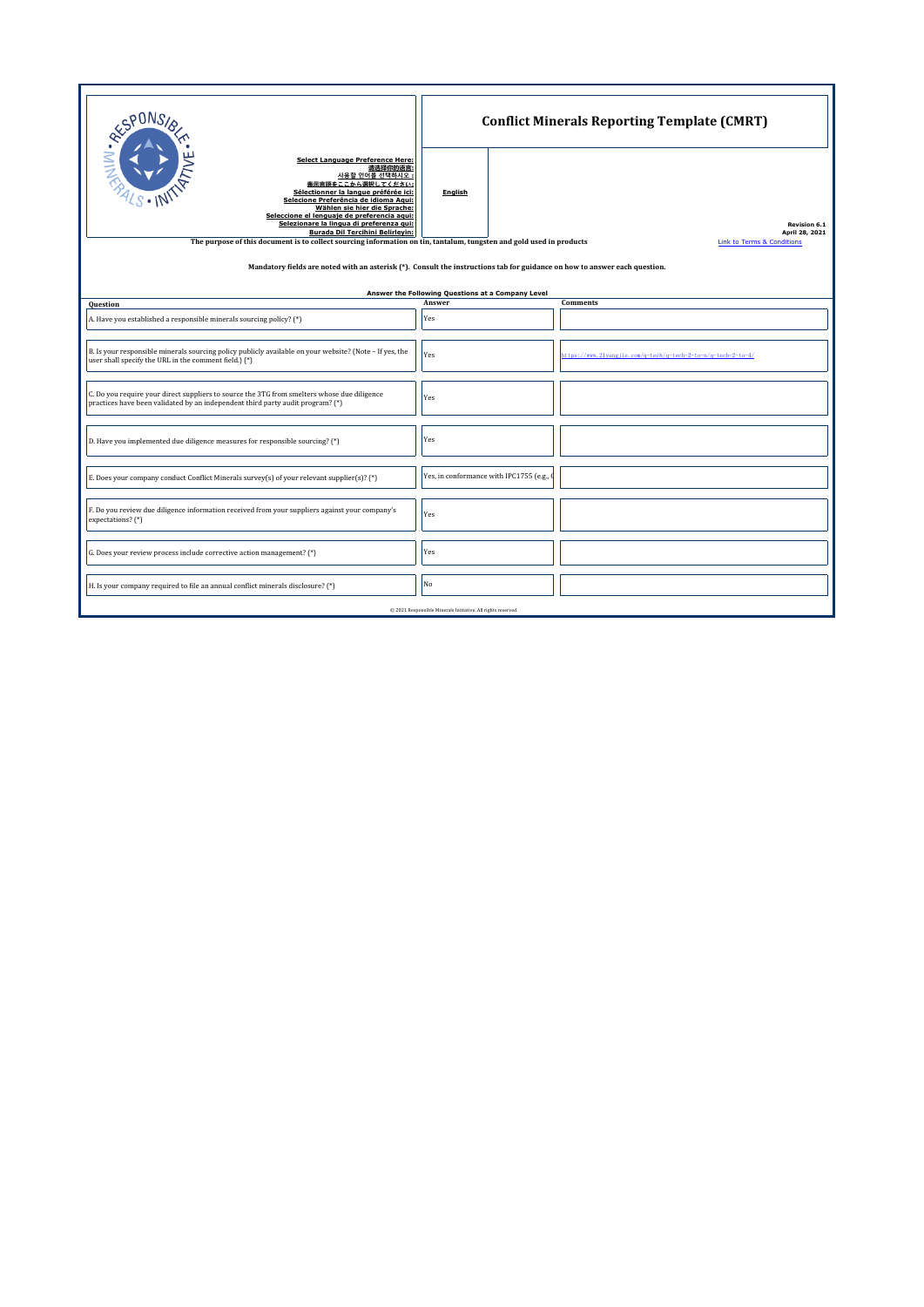| <b>RESPONS</b>                                                                                                                                                                                                                                                                                                                               | <b>Conflict Minerals Reporting Template (CMRT)</b> |  |                                                               |  |  |  |  |  |  |  |  |  |
|----------------------------------------------------------------------------------------------------------------------------------------------------------------------------------------------------------------------------------------------------------------------------------------------------------------------------------------------|----------------------------------------------------|--|---------------------------------------------------------------|--|--|--|--|--|--|--|--|--|
| <b>Select Language Preference Here:</b><br>请选择你的语言:<br>사용할 언어를 선택하시오 :<br>表示言語をここから選択してください:<br>Sélectionner la langue préférée ici:<br>Selecione Preferência de idioma Aqui:<br>Wählen sie hier die Sprache:<br>Seleccione el lenguaje de preferencia aqui:<br>Selezionare la lingua di preferenza qui:<br>Burada Dil Tercihini Belirleyin: | <b>English</b>                                     |  | <b>Revision 6.1</b><br>April 28, 2021                         |  |  |  |  |  |  |  |  |  |
| The purpose of this document is to collect sourcing information on tin, tantalum, tungsten and gold used in products<br><b>Link to Terms &amp; Conditions</b>                                                                                                                                                                                |                                                    |  |                                                               |  |  |  |  |  |  |  |  |  |
| Mandatory fields are noted with an asterisk (*). Consult the instructions tab for guidance on how to answer each question.<br>Answer the Following Questions at a Company Level                                                                                                                                                              |                                                    |  |                                                               |  |  |  |  |  |  |  |  |  |
| Question                                                                                                                                                                                                                                                                                                                                     | Answer                                             |  | <b>Comments</b>                                               |  |  |  |  |  |  |  |  |  |
| A. Have you established a responsible minerals sourcing policy? (*)                                                                                                                                                                                                                                                                          | Yes                                                |  |                                                               |  |  |  |  |  |  |  |  |  |
| B. Is your responsible minerals sourcing policy publicly available on your website? (Note - If yes, the<br>user shall specify the URL in the comment field.) (*)                                                                                                                                                                             | Yes                                                |  | https://www.21vangiie.com/g-tech/g-tech-2-to-n/g-tech-2-to-4/ |  |  |  |  |  |  |  |  |  |
| C. Do you require your direct suppliers to source the 3TG from smelters whose due diligence<br>practices have been validated by an independent third party audit program? (*)                                                                                                                                                                | Yes                                                |  |                                                               |  |  |  |  |  |  |  |  |  |
| D. Have you implemented due diligence measures for responsible sourcing? (*)                                                                                                                                                                                                                                                                 | Yes                                                |  |                                                               |  |  |  |  |  |  |  |  |  |
| E. Does your company conduct Conflict Minerals survey(s) of your relevant supplier(s)? (*)                                                                                                                                                                                                                                                   | Yes, in conformance with IPC1755 (e.g.,            |  |                                                               |  |  |  |  |  |  |  |  |  |
| F. Do you review due diligence information received from your suppliers against your company's<br>expectations? (*)                                                                                                                                                                                                                          | Yes                                                |  |                                                               |  |  |  |  |  |  |  |  |  |
| G. Does your review process include corrective action management? (*)                                                                                                                                                                                                                                                                        | Yes                                                |  |                                                               |  |  |  |  |  |  |  |  |  |
| H. Is your company required to file an annual conflict minerals disclosure? (*)                                                                                                                                                                                                                                                              | No                                                 |  |                                                               |  |  |  |  |  |  |  |  |  |
| @ 2021 Responsible Minerals Initiative. All rights reserved.                                                                                                                                                                                                                                                                                 |                                                    |  |                                                               |  |  |  |  |  |  |  |  |  |